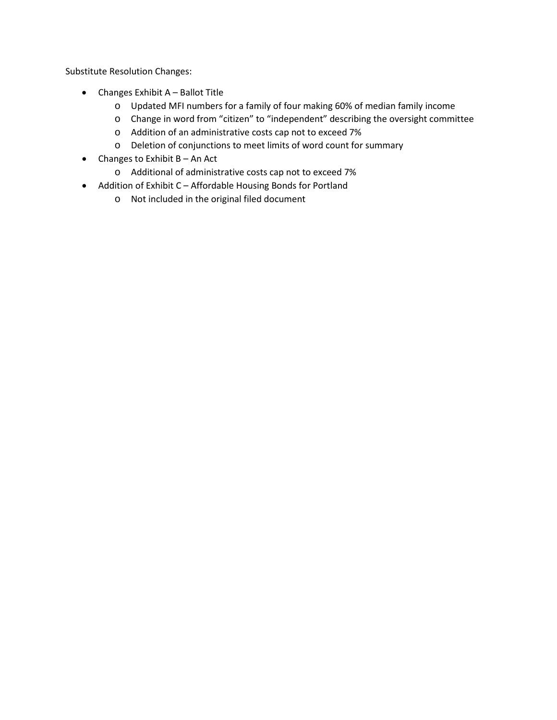Substitute Resolution Changes:

- Changes Exhibit A Ballot Title
	- o Updated MFI numbers for a family of four making 60% of median family income
	- o Change in word from "citizen" to "independent" describing the oversight committee
	- o Addition of an administrative costs cap not to exceed 7%
	- o Deletion of conjunctions to meet limits of word count for summary
- Changes to Exhibit  $B An Act$ 
	- o Additional of administrative costs cap not to exceed 7%
- Addition of Exhibit C Affordable Housing Bonds for Portland
	- o Not included in the original filed document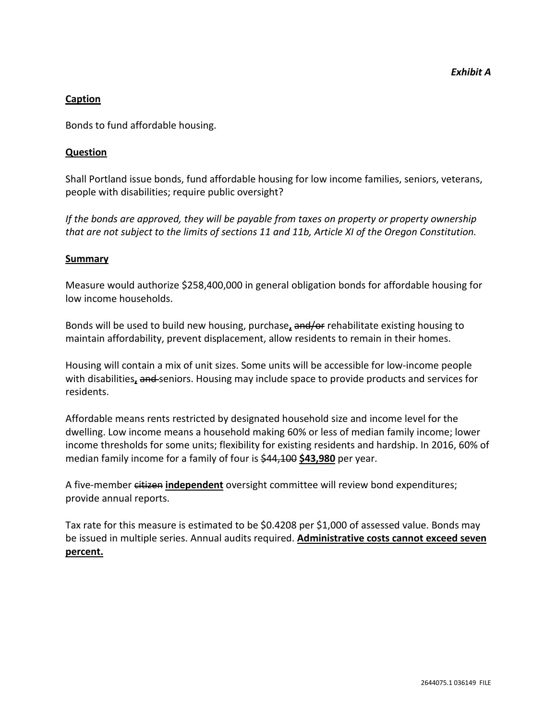#### **Caption**

Bonds to fund affordable housing.

#### **Question**

Shall Portland issue bonds, fund affordable housing for low income families, seniors, veterans, people with disabilities; require public oversight?

*If the bonds are approved, they will be payable from taxes on property or property ownership that are not subject to the limits of sections 11 and 11b, Article XI of the Oregon Constitution.*

#### **Summary**

Measure would authorize \$258,400,000 in general obligation bonds for affordable housing for low income households.

Bonds will be used to build new housing, purchase**,** and/or rehabilitate existing housing to maintain affordability, prevent displacement, allow residents to remain in their homes.

Housing will contain a mix of unit sizes. Some units will be accessible for low-income people with disabilities, and seniors. Housing may include space to provide products and services for residents.

Affordable means rents restricted by designated household size and income level for the dwelling. Low income means a household making 60% or less of median family income; lower income thresholds for some units; flexibility for existing residents and hardship. In 2016, 60% of median family income for a family of four is \$44,100 **\$43,980** per year.

A five-member citizen **independent** oversight committee will review bond expenditures; provide annual reports.

Tax rate for this measure is estimated to be \$0.4208 per \$1,000 of assessed value. Bonds may be issued in multiple series. Annual audits required. **Administrative costs cannot exceed seven percent.**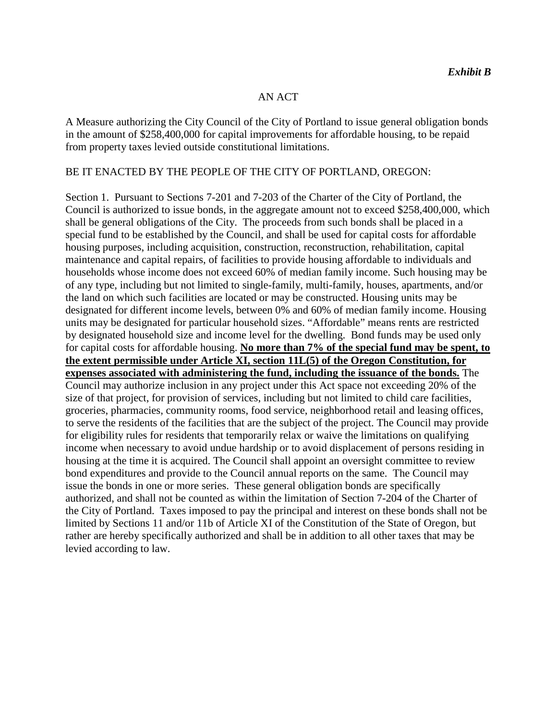#### AN ACT

A Measure authorizing the City Council of the City of Portland to issue general obligation bonds in the amount of \$258,400,000 for capital improvements for affordable housing, to be repaid from property taxes levied outside constitutional limitations.

#### BE IT ENACTED BY THE PEOPLE OF THE CITY OF PORTLAND, OREGON:

Section 1. Pursuant to Sections 7-201 and 7-203 of the Charter of the City of Portland, the Council is authorized to issue bonds, in the aggregate amount not to exceed \$258,400,000, which shall be general obligations of the City. The proceeds from such bonds shall be placed in a special fund to be established by the Council, and shall be used for capital costs for affordable housing purposes, including acquisition, construction, reconstruction, rehabilitation, capital maintenance and capital repairs, of facilities to provide housing affordable to individuals and households whose income does not exceed 60% of median family income. Such housing may be of any type, including but not limited to single-family, multi-family, houses, apartments, and/or the land on which such facilities are located or may be constructed. Housing units may be designated for different income levels, between 0% and 60% of median family income. Housing units may be designated for particular household sizes. "Affordable" means rents are restricted by designated household size and income level for the dwelling. Bond funds may be used only for capital costs for affordable housing. **No more than 7% of the special fund may be spent, to the extent permissible under Article XI, section 11L(5) of the Oregon Constitution, for expenses associated with administering the fund, including the issuance of the bonds.** The Council may authorize inclusion in any project under this Act space not exceeding 20% of the size of that project, for provision of services, including but not limited to child care facilities, groceries, pharmacies, community rooms, food service, neighborhood retail and leasing offices, to serve the residents of the facilities that are the subject of the project. The Council may provide for eligibility rules for residents that temporarily relax or waive the limitations on qualifying income when necessary to avoid undue hardship or to avoid displacement of persons residing in housing at the time it is acquired. The Council shall appoint an oversight committee to review bond expenditures and provide to the Council annual reports on the same. The Council may issue the bonds in one or more series. These general obligation bonds are specifically authorized, and shall not be counted as within the limitation of Section 7-204 of the Charter of the City of Portland. Taxes imposed to pay the principal and interest on these bonds shall not be limited by Sections 11 and/or 11b of Article XI of the Constitution of the State of Oregon, but rather are hereby specifically authorized and shall be in addition to all other taxes that may be levied according to law.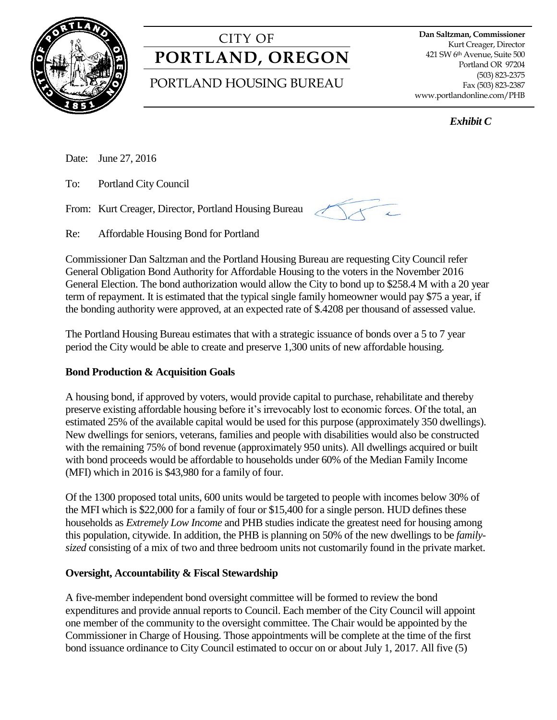

# CITY OF **PORTLAND, OREGON**

# PORTLAND HOUSING BUREAU

**Dan Saltzman, Commissioner** Kurt Creager, Director 421 SW 6th Avenue, Suite 500 Portland OR 97204 (503) 823-2375 Fax (503) 823-2387 www.portlandonline.com/PHB

*Exhibit C* 

Date: June 27, 2016

To: Portland City Council

From: Kurt Creager, Director, Portland Housing Bureau



Re: Affordable Housing Bond for Portland

Commissioner Dan Saltzman and the Portland Housing Bureau are requesting City Council refer General Obligation Bond Authority for Affordable Housing to the voters in the November 2016 General Election. The bond authorization would allow the City to bond up to \$258.4 M with a 20 year term of repayment. It is estimated that the typical single family homeowner would pay \$75 a year, if the bonding authority were approved, at an expected rate of \$.4208 per thousand of assessed value.

The Portland Housing Bureau estimates that with a strategic issuance of bonds over a 5 to 7 year period the City would be able to create and preserve 1,300 units of new affordable housing.

### **Bond Production & Acquisition Goals**

A housing bond, if approved by voters, would provide capital to purchase, rehabilitate and thereby preserve existing affordable housing before it's irrevocably lost to economic forces. Of the total, an estimated 25% of the available capital would be used for this purpose (approximately 350 dwellings). New dwellings for seniors, veterans, families and people with disabilities would also be constructed with the remaining 75% of bond revenue (approximately 950 units). All dwellings acquired or built with bond proceeds would be affordable to households under 60% of the Median Family Income (MFI) which in 2016 is \$43,980 for a family of four.

Of the 1300 proposed total units, 600 units would be targeted to people with incomes below 30% of the MFI which is \$22,000 for a family of four or \$15,400 for a single person. HUD defines these households as *Extremely Low Income* and PHB studies indicate the greatest need for housing among this population, citywide. In addition, the PHB is planning on 50% of the new dwellings to be *familysized* consisting of a mix of two and three bedroom units not customarily found in the private market.

### **Oversight, Accountability & Fiscal Stewardship**

A five-member independent bond oversight committee will be formed to review the bond expenditures and provide annual reports to Council. Each member of the City Council will appoint one member of the community to the oversight committee. The Chair would be appointed by the Commissioner in Charge of Housing. Those appointments will be complete at the time of the first bond issuance ordinance to City Council estimated to occur on or about July 1, 2017. All five (5)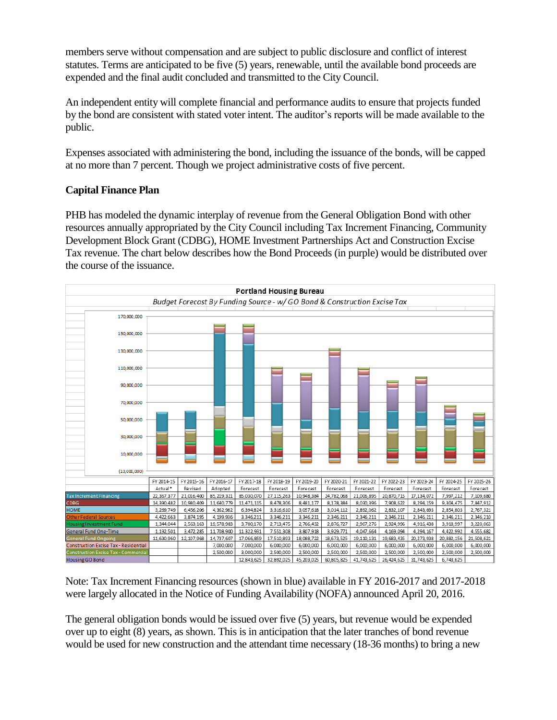members serve without compensation and are subject to public disclosure and conflict of interest statutes. Terms are anticipated to be five (5) years, renewable, until the available bond proceeds are expended and the final audit concluded and transmitted to the City Council.

An independent entity will complete financial and performance audits to ensure that projects funded by the bond are consistent with stated voter intent. The auditor's reports will be made available to the public.

Expenses associated with administering the bond, including the issuance of the bonds, will be capped at no more than 7 percent. Though we project administrative costs of five percent.

# **Capital Finance Plan**

PHB has modeled the dynamic interplay of revenue from the General Obligation Bond with other resources annually appropriated by the City Council including Tax Increment Financing, Community Development Block Grant (CDBG), HOME Investment Partnerships Act and Construction Excise Tax revenue. The chart below describes how the Bond Proceeds (in purple) would be distributed over the course of the issuance.



Note: Tax Increment Financing resources (shown in blue) available in FY 2016-2017 and 2017-2018 were largely allocated in the Notice of Funding Availability (NOFA) announced April 20, 2016.

The general obligation bonds would be issued over five (5) years, but revenue would be expended over up to eight (8) years, as shown. This is in anticipation that the later tranches of bond revenue would be used for new construction and the attendant time necessary (18-36 months) to bring a new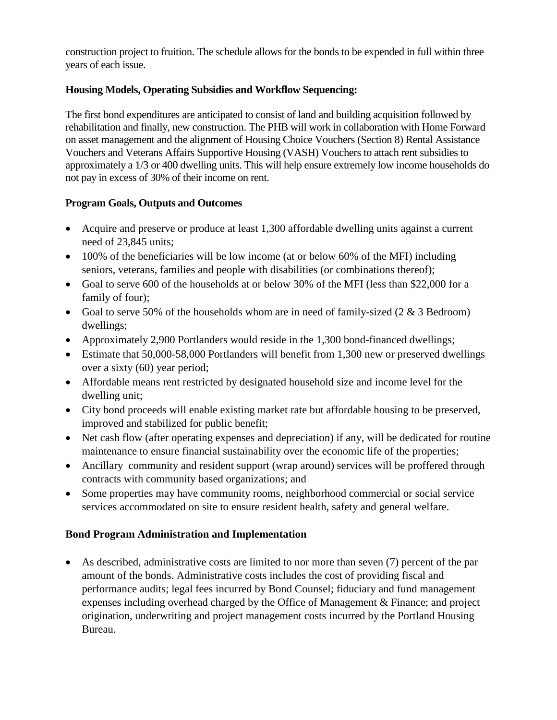construction project to fruition. The schedule allows for the bonds to be expended in full within three years of each issue.

# **Housing Models, Operating Subsidies and Workflow Sequencing:**

The first bond expenditures are anticipated to consist of land and building acquisition followed by rehabilitation and finally, new construction. The PHB will work in collaboration with Home Forward on asset management and the alignment of Housing Choice Vouchers (Section 8) Rental Assistance Vouchers and Veterans Affairs Supportive Housing (VASH) Vouchers to attach rent subsidies to approximately a 1/3 or 400 dwelling units. This will help ensure extremely low income households do not pay in excess of 30% of their income on rent.

### **Program Goals, Outputs and Outcomes**

- Acquire and preserve or produce at least 1,300 affordable dwelling units against a current need of 23,845 units;
- 100% of the beneficiaries will be low income (at or below 60% of the MFI) including seniors, veterans, families and people with disabilities (or combinations thereof);
- Goal to serve 600 of the households at or below 30% of the MFI (less than \$22,000 for a family of four);
- Goal to serve 50% of the households whom are in need of family-sized  $(2 \& 3 \text{ Bedroom})$ dwellings;
- Approximately 2,900 Portlanders would reside in the 1,300 bond-financed dwellings;
- Estimate that 50,000-58,000 Portlanders will benefit from 1,300 new or preserved dwellings over a sixty (60) year period;
- Affordable means rent restricted by designated household size and income level for the dwelling unit;
- City bond proceeds will enable existing market rate but affordable housing to be preserved, improved and stabilized for public benefit;
- Net cash flow (after operating expenses and depreciation) if any, will be dedicated for routine maintenance to ensure financial sustainability over the economic life of the properties;
- Ancillary community and resident support (wrap around) services will be proffered through contracts with community based organizations; and
- Some properties may have community rooms, neighborhood commercial or social service services accommodated on site to ensure resident health, safety and general welfare.

# **Bond Program Administration and Implementation**

 As described, administrative costs are limited to nor more than seven (7) percent of the par amount of the bonds. Administrative costs includes the cost of providing fiscal and performance audits; legal fees incurred by Bond Counsel; fiduciary and fund management expenses including overhead charged by the Office of Management & Finance; and project origination, underwriting and project management costs incurred by the Portland Housing Bureau.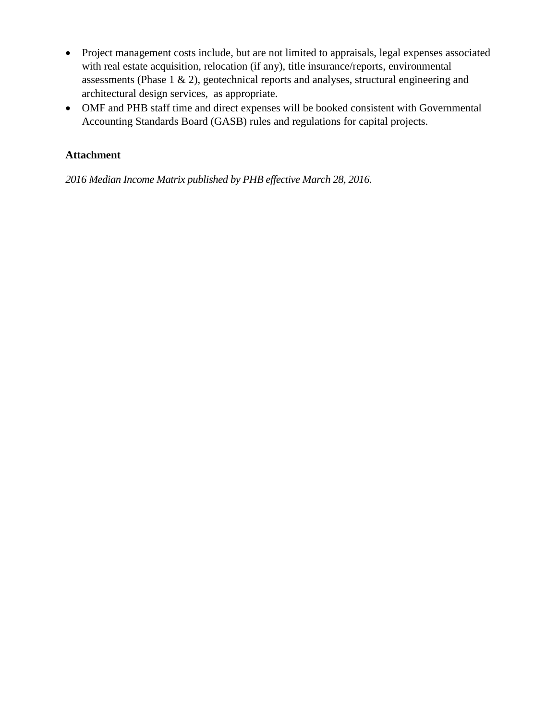- Project management costs include, but are not limited to appraisals, legal expenses associated with real estate acquisition, relocation (if any), title insurance/reports, environmental assessments (Phase 1 & 2), geotechnical reports and analyses, structural engineering and architectural design services, as appropriate.
- OMF and PHB staff time and direct expenses will be booked consistent with Governmental Accounting Standards Board (GASB) rules and regulations for capital projects.

# **Attachment**

*2016 Median Income Matrix published by PHB effective March 28, 2016.*